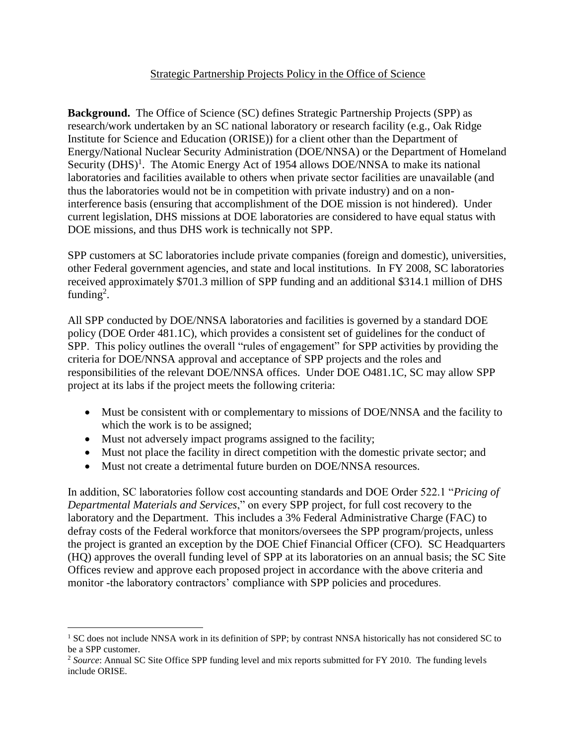## Strategic Partnership Projects Policy in the Office of Science

**Background.** The Office of Science (SC) defines Strategic Partnership Projects (SPP) as research/work undertaken by an SC national laboratory or research facility (e.g., Oak Ridge Institute for Science and Education (ORISE)) for a client other than the Department of Energy/National Nuclear Security Administration (DOE/NNSA) or the Department of Homeland Security (DHS)<sup>1</sup>. The Atomic Energy Act of 1954 allows DOE/NNSA to make its national laboratories and facilities available to others when private sector facilities are unavailable (and thus the laboratories would not be in competition with private industry) and on a noninterference basis (ensuring that accomplishment of the DOE mission is not hindered). Under current legislation, DHS missions at DOE laboratories are considered to have equal status with DOE missions, and thus DHS work is technically not SPP.

SPP customers at SC laboratories include private companies (foreign and domestic), universities, other Federal government agencies, and state and local institutions. In FY 2008, SC laboratories received approximately \$701.3 million of SPP funding and an additional \$314.1 million of DHS funding<sup>2</sup>.

All SPP conducted by DOE/NNSA laboratories and facilities is governed by a standard DOE policy (DOE Order 481.1C), which provides a consistent set of guidelines for the conduct of SPP. This policy outlines the overall "rules of engagement" for SPP activities by providing the criteria for DOE/NNSA approval and acceptance of SPP projects and the roles and responsibilities of the relevant DOE/NNSA offices. Under DOE O481.1C, SC may allow SPP project at its labs if the project meets the following criteria:

- Must be consistent with or complementary to missions of DOE/NNSA and the facility to which the work is to be assigned;
- Must not adversely impact programs assigned to the facility;

 $\overline{a}$ 

- Must not place the facility in direct competition with the domestic private sector; and
- Must not create a detrimental future burden on DOE/NNSA resources.

In addition, SC laboratories follow cost accounting standards and DOE Order 522.1 "*Pricing of Departmental Materials and Services*," on every SPP project, for full cost recovery to the laboratory and the Department. This includes a 3% Federal Administrative Charge (FAC) to defray costs of the Federal workforce that monitors/oversees the SPP program/projects, unless the project is granted an exception by the DOE Chief Financial Officer (CFO). SC Headquarters (HQ) approves the overall funding level of SPP at its laboratories on an annual basis; the SC Site Offices review and approve each proposed project in accordance with the above criteria and monitor -the laboratory contractors' compliance with SPP policies and procedures.

<sup>&</sup>lt;sup>1</sup> SC does not include NNSA work in its definition of SPP; by contrast NNSA historically has not considered SC to be a SPP customer.

<sup>2</sup> *Source*: Annual SC Site Office SPP funding level and mix reports submitted for FY 2010. The funding levels include ORISE.